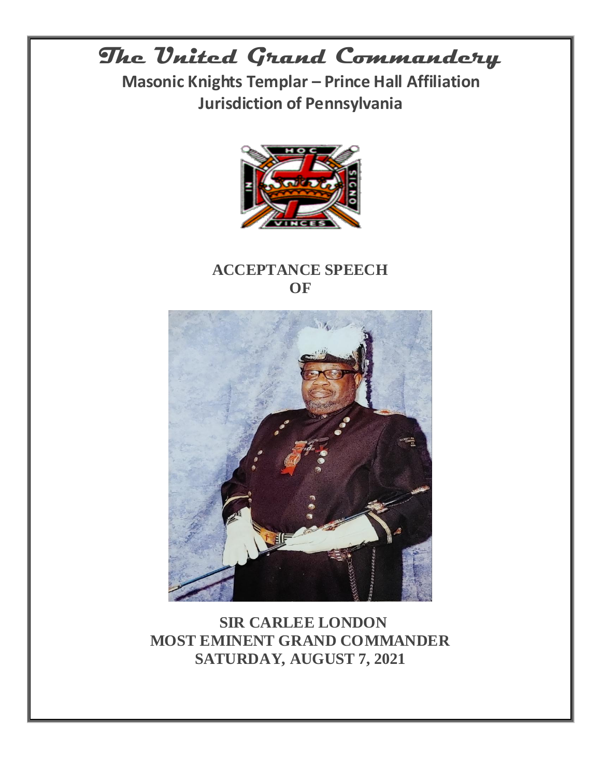# **The United Grand Commandery**

**Masonic Knights Templar – Prince Hall Affiliation Jurisdiction of Pennsylvania**



### **ACCEPTANCE SPEECH OF**



**SIR CARLEE LONDON MOST EMINENT GRAND COMMANDER SATURDAY, AUGUST 7, 2021**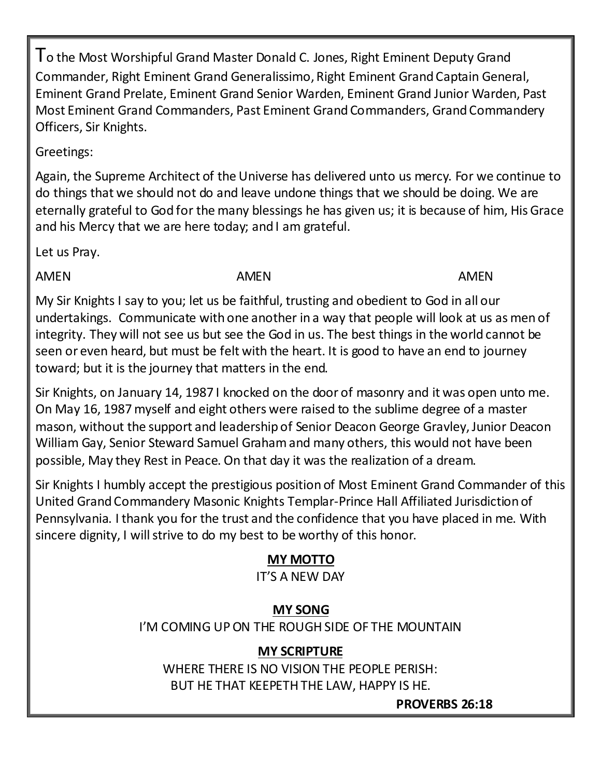To the Most Worshipful Grand Master Donald C. Jones, Right Eminent Deputy Grand Commander, Right Eminent Grand Generalissimo, Right Eminent Grand Captain General, Eminent Grand Prelate, Eminent Grand Senior Warden, Eminent Grand Junior Warden, Past Most Eminent Grand Commanders, Past Eminent Grand Commanders, Grand Commandery Officers, Sir Knights.

Greetings:

Again, the Supreme Architect of the Universe has delivered unto us mercy. For we continue to do things that we should not do and leave undone things that we should be doing. We are eternally grateful to God for the many blessings he has given us; it is because of him, His Grace and his Mercy that we are here today; and I am grateful.

Let us Pray.

AMEN AMEN AMEN AMEN AMEN

My Sir Knights I say to you; let us be faithful, trusting and obedient to God in all our undertakings. Communicate with one another in a way that people will look at us as men of integrity. They will not see us but see the God in us. The best things in the world cannot be seen or even heard, but must be felt with the heart. It is good to have an end to journey toward; but it is the journey that matters in the end.

Sir Knights, on January 14, 1987 I knocked on the door of masonry and it was open unto me. On May 16, 1987 myself and eight others were raised to the sublime degree of a master mason, without the support and leadership of Senior Deacon George Gravley, Junior Deacon William Gay, Senior Steward Samuel Graham and many others, this would not have been possible, May they Rest in Peace. On that day it was the realization of a dream.

Sir Knights I humbly accept the prestigious position of Most Eminent Grand Commander of this United Grand Commandery Masonic Knights Templar-Prince Hall Affiliated Jurisdiction of Pennsylvania. I thank you for the trust and the confidence that you have placed in me. With sincere dignity, I will strive to do my best to be worthy of this honor.

### **MY MOTTO**

IT'S A NEW DAY

### **MY SONG**

I'M COMING UP ON THE ROUGH SIDE OF THE MOUNTAIN

## **MY SCRIPTURE**

WHERE THERE IS NO VISION THE PEOPLE PERISH: BUT HE THAT KEEPETH THE LAW, HAPPY IS HE.

**PROVERBS 26:18**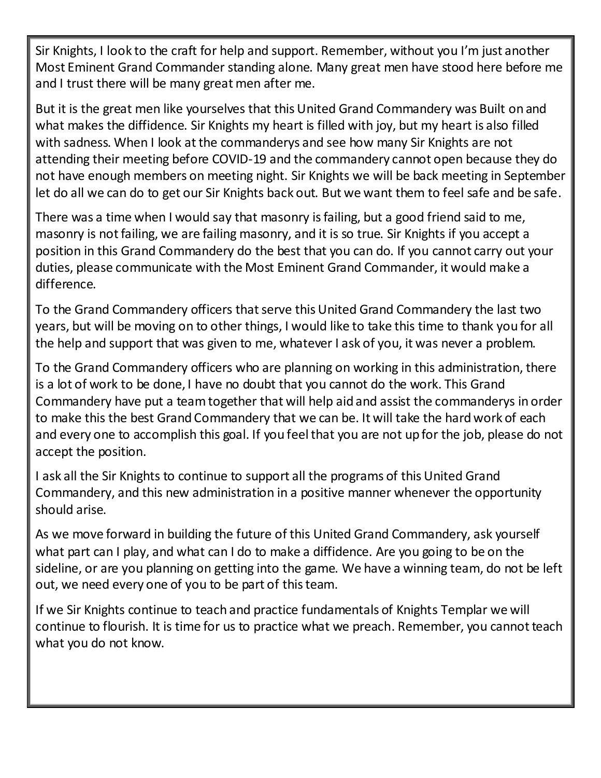Sir Knights, I look to the craft for help and support. Remember, without you I'm just another Most Eminent Grand Commander standing alone. Many great men have stood here before me and I trust there will be many great men after me.

But it is the great men like yourselves that this United Grand Commandery was Built on and what makes the diffidence. Sir Knights my heart is filled with joy, but my heart is also filled with sadness. When I look at the commanderys and see how many Sir Knights are not attending their meeting before COVID-19 and the commandery cannot open because they do not have enough members on meeting night. Sir Knights we will be back meeting in September let do all we can do to get our Sir Knights back out. But we want them to feel safe and be safe.

There was a time when I would say that masonry is failing, but a good friend said to me, masonry is not failing, we are failing masonry, and it is so true. Sir Knights if you accept a position in this Grand Commandery do the best that you can do. If you cannot carry out your duties, please communicate with the Most Eminent Grand Commander, it would make a difference.

To the Grand Commandery officers that serve this United Grand Commandery the last two years, but will be moving on to other things, I would like to take this time to thank you for all the help and support that was given to me, whatever I ask of you, it was never a problem.

To the Grand Commandery officers who are planning on working in this administration, there is a lot of work to be done, I have no doubt that you cannot do the work. This Grand Commandery have put a team together that will help aid and assist the commanderys in order to make this the best Grand Commandery that we can be. It will take the hard work of each and every one to accomplish this goal. If you feel that you are not up for the job, please do not accept the position.

I ask all the Sir Knights to continue to support all the programs of this United Grand Commandery, and this new administration in a positive manner whenever the opportunity should arise.

As we move forward in building the future of this United Grand Commandery, ask yourself what part can I play, and what can I do to make a diffidence. Are you going to be on the sideline, or are you planning on getting into the game. We have a winning team, do not be left out, we need every one of you to be part of this team.

If we Sir Knights continue to teach and practice fundamentals of Knights Templar we will continue to flourish. It is time for us to practice what we preach. Remember, you cannot teach what you do not know.